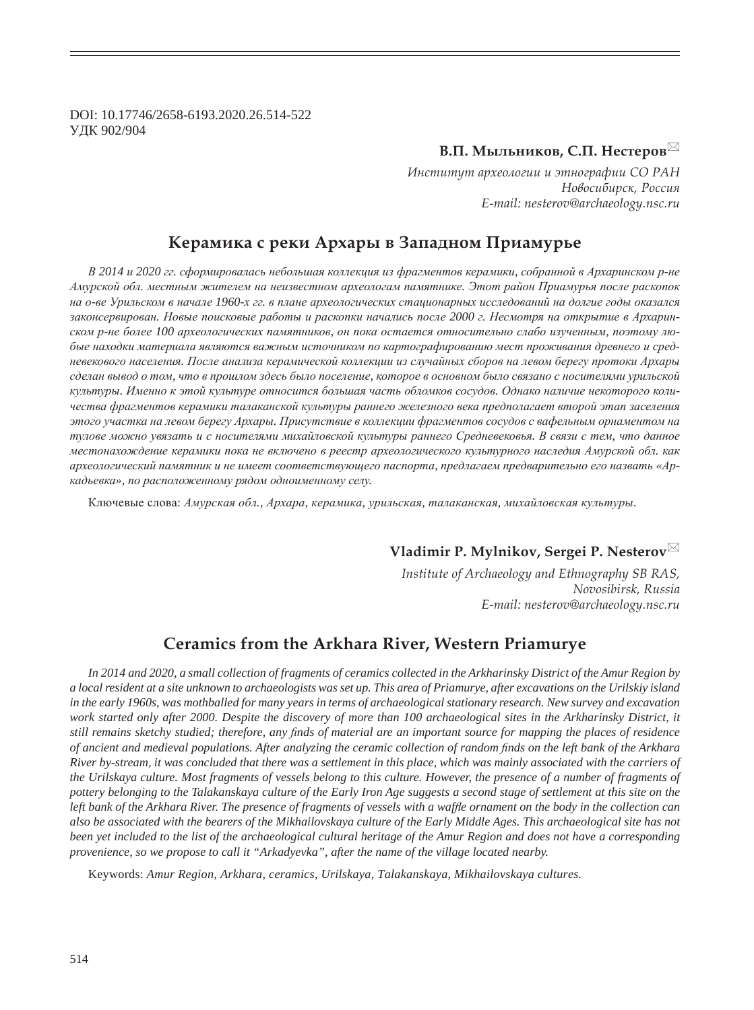DOI: 10.17746/2658-6193.2020.26.514-522 ɍȾɄ 902/904

## **В.П. Мыльников, С.П. Нестеров**

Институт археологии и этнографии СО РАН  $H$ овосибирск, Россия *E-mail: nesterov@archaeology.nsc.ru*

## **ǸȓȞȎȚȖȘȎ ȟ ȞȓȘȖ ǮȞȣȎȞȩ Ȑ ǵȎȝȎȒțȜȚ ǽȞȖȎȚȡȞȪȓ**

В 2014 и 2020 гг. сформировалась небольшая коллекция из фрагментов керамики, собранной в Архаринском р-не Амурской обл. местным жителем на неизвестном археологам памятнике. Этот район Приамурья после раскопок на о-ве Урильском в начале 1960-х гг. в плане археологических стационарных исследований на долгие годы оказался законсервирован. Новые поисковые работы и раскопки начались после 2000 г. Несмотря на открытие в Архаринском р-не более 100 археологических памятников, он пока остается относительно слабо изученным, поэтому любые находки материала являются важным источником по картографированию мест проживания древнего и средневекового населения. После анализа керамической коллекции из случайных сборов на левом берегу протоки Архары сделан вывод о том, что в прошлом здесь было поселение, которое в основном было связано с носителями урильской культуры. Именно к этой культуре относится большая часть обломков сосудов. Однако наличие некоторого количества фрагментов керамики талаканской культуры раннего железного века предполагает второй этап заселения зтого участка на левом берегу Архары. Присутствие в коллекции фрагментов сосудов с вафельным орнаментом на тулове можно увязать и с носителями михайловской культуры раннего Средневековья. В связи с тем, что данное местонахождение керамики пока не включено в реестр археологического культурного наследия Амурской обл. как *ɚɪɯɟɨɥɨɝɢɱɟɫɤɢɣ ɩɚɦɹɬɧɢɤ ɢ ɧɟ ɢɦɟɟɬ ɫɨɨɬɜɟɬɫɬɜɭɸɳɟɝɨ ɩɚɫɩɨɪɬɚ, ɩɪɟɞɥɚɝɚɟɦ ɩɪɟɞɜɚɪɢɬɟɥɶɧɨ ɟɝɨ ɧɚɡɜɚɬɶ «Ⱥɪ* $kab$ евка», по расположенному рядом одноименному селу.

Ключевые слова: Амурская обл., Архара, керамика, урильская, талаканская, михайловская культуры.

**Vladimir P. Mylnikov, Sergei P. Nesterov**

*Institute of Archaeology and Ethnography SB RAS, Novosibirsk, Russia E-mail: nesterov@archaeology.nsc.ru*

# **Ceramics from the Arkhara River, Western Priamurye**

*In 2014 and 2020, a small collection of fragments of ceramics collected in the Arkharinsky District of the Amur Region by a local resident at a site unknown to archaeologists was set up. This area of Priamurye, after excavations on the Urilskiy island in the early 1960s, was mothballed for many years in terms of archaeological stationary research. New survey and excavation work started only after 2000. Despite the discovery of more than 100 archaeological sites in the Arkharinsky District, it still remains sketchy studied; therefore, any finds of material are an important source for mapping the places of residence of ancient and medieval populations. After analyzing the ceramic collection of random finds on the left bank of the Arkhara River by-stream, it was concluded that there was a settlement in this place, which was mainly associated with the carriers of the Urilskaya culture. Most fragments of vessels belong to this culture. However, the presence of a number of fragments of pottery belonging to the Talakanskaya culture of the Early Iron Age suggests a second stage of settlement at this site on the*  left bank of the Arkhara River. The presence of fragments of vessels with a waffle ornament on the body in the collection can *also be associated with the bearers of the Mikhailovskaya culture of the Early Middle Ages. This archaeological site has not been yet included to the list of the archaeological cultural heritage of the Amur Region and does not have a corresponding provenience, so we propose to call it "Arkadyevka", after the name of the village located nearby.*

Keywords: *Amur Region, Arkhara, ceramics, Urilskaya, Talakanskaya, Mikhailovskaya cultures.*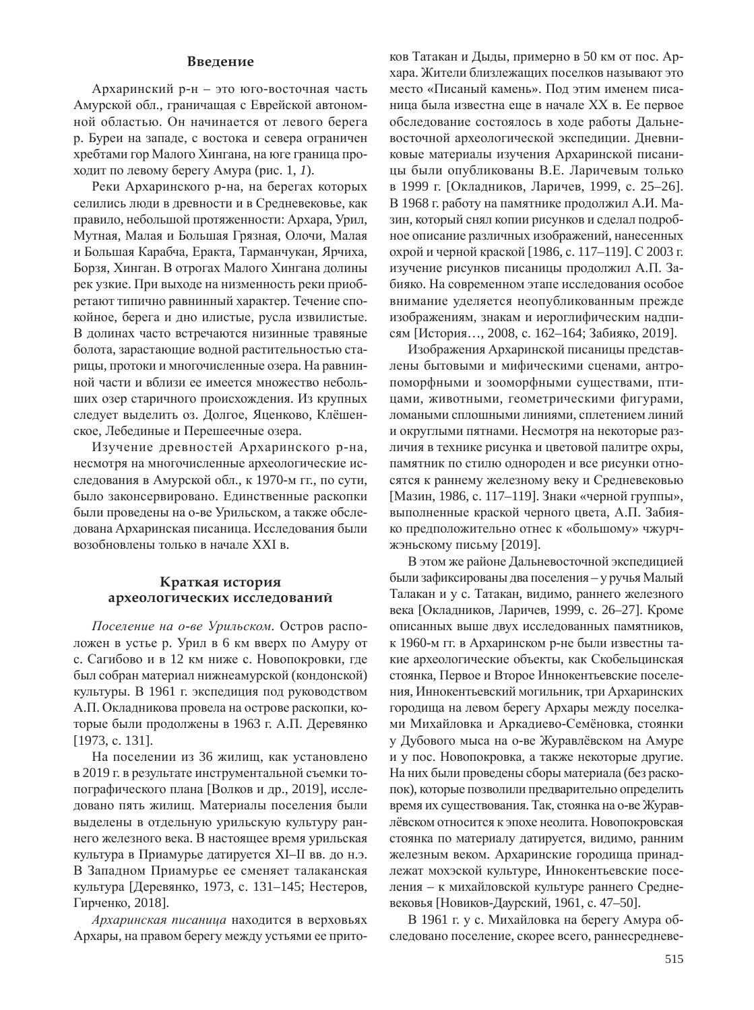### Введение

Архаринский р-н – это юго-восточная часть Амурской обл., граничащая с Еврейской автономной областью. Он начинается от левого берега р. Буреи на западе, с востока и севера ограничен хребтами гор Малого Хингана, на юге граница проходит по левому берегу Амура (рис. 1, 1).

Реки Архаринского р-на, на берегах которых селились люди в древности и в Средневековье, как правило, небольшой протяженности: Архара, Урил, Мутная, Малая и Большая Грязная, Олочи, Малая и Большая Карабча, Еракта, Тарманчукан, Ярчиха, Борзя, Хинган. В отрогах Малого Хингана долины рек узкие. При выходе на низменность реки приобретают типично равнинный характер. Течение спокойное, берега и дно илистые, русла извилистые. В долинах часто встречаются низинные травяные болота, зарастающие водной растительностью старицы, протоки и многочисленные озера. На равнинной части и вблизи ее имеется множество небольших озер старичного происхождения. Из крупных следует выделить оз. Долгое, Яценково, Клёшенское, Лебединые и Перешеечные озера.

Изучение древностей Архаринского р-на, несмотря на многочисленные археологические исследования в Амурской обл., к 1970-м гг., по сути, было законсервировано. Единственные раскопки были проведены на о-ве Урильском, а также обследована Архаринская писаница. Исследования были возобновлены только в начале XXI в.

#### **ǸȞȎȠȘȎȭ ȖȟȠȜȞȖȭ** археологических исследований

Госеление на о-ве Урильском. Остров расположен в устье р. Урил в 6 км вверх по Амуру от с. Сагибово и в 12 км ниже с. Новопокровки, где был собран материал нижнеамурской (кондонской) культуры. В 1961 г. экспедиция под руководством А.П. Окладникова провела на острове раскопки, которые были продолжены в 1963 г. А.П. Деревянко [1973, c. 131].

На поселении из 36 жилищ, как установлено в 2019 г. в результате инструментальной съемки топографического плана [Волков и др., 2019], исследовано пять жилищ. Материалы поселения были выделены в отдельную урильскую культуру раннего железного века. В настоящее время урильская культура в Приамурье датируется XI–II вв. до н.э. В Западном Приамурье ее сменяет талаканская культура [Деревянко, 1973, с. 131–145; Нестеров, Гирченко, 2018].

Архаринская писаница находится в верховьях Архары, на правом берегу между устьями ее притоков Татакан и Дыды, примерно в 50 км от пос. Архара. Жители близлежаших поселков называют это место «Писаный камень». Под этим именем писаница была известна еще в начале XX в. Ее первое обследование состоялось в ходе работы Дальневосточной археологической экспедиции. Дневниковые материалы изучения Архаринской писаницы были опубликованы В.Е. Ларичевым только в 1999 г. [Окладников, Ларичев, 1999, с. 25–26]. В 1968 г. работу на памятнике продолжил А.И. Мазин, который снял копии рисунков и сделал подробное описание различных изображений, нанесенных охрой и черной краской [1986, с. 117-119]. С 2003 г. изучение рисунков писаницы продолжил А.П. Забияко. На современном этапе исследования особое внимание уделяется неопубликованным прежде изображениям, знакам и иероглифическим надписям [История..., 2008, с. 162–164; Забияко, 2019].

Изображения Архаринской писаницы представлены бытовыми и мифическими сценами, антропоморфными и зооморфными существами, птицами, животными, геометрическими фигурами, ломаными сплошными линиями, сплетением линий и округлыми пятнами. Несмотря на некоторые различия в технике рисунка и цветовой палитре охры, памятник по стилю однороден и все рисунки относятся к раннему железному веку и Средневековью [Мазин, 1986, с. 117–119]. Знаки «черной группы», выполненные краской черного цвета, А.П. Забияко предположительно отнес к «большому» чжурчжэньскому письму [2019].

В этом же районе Дальневосточной экспедицией были зафиксированы два поселения – у ручья Малый Талакан и у с. Татакан, видимо, раннего железного века [Окладников, Ларичев, 1999, с. 26–27]. Кроме описанных выше двух исследованных памятников, к 1960-м гг. в Архаринском р-не были известны такие археологические объекты, как Скобельцинская стоянка, Первое и Второе Иннокентьевские поселения, Иннокентьевский могильник, три Архаринских городища на левом берегу Архары между поселками Михайловка и Аркадиево-Семёновка, стоянки у Дубового мыса на о-ве Журавлёвском на Амуре и у пос. Новопокровка, а также некоторые другие. На них были проведены сборы материала (без раскопок), которые позволили предварительно определить время их существования. Так, стоянка на о-ве Журавлёвском относится к эпохе неолита. Новопокровская стоянка по материалу датируется, видимо, ранним железным веком. Архаринские городища принадлежат мохэской культуре, Иннокентьевские поселения – к михайловской культуре раннего Средневековья [Новиков-Даурский, 1961, с. 47–50].

В 1961 г. у с. Михайловка на берегу Амура обследовано поселение, скорее всего, раннесредневе-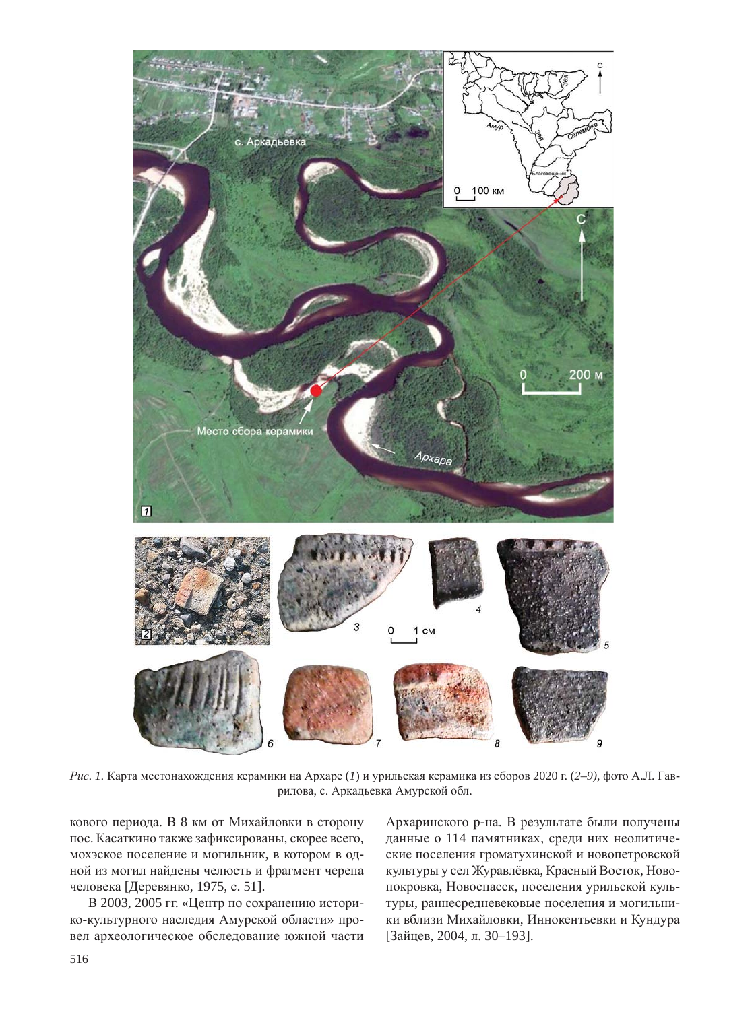

Рис. 1. Карта местонахождения керамики на Архаре (1) и урильская керамика из сборов 2020 г. (2–9), фото А.Л. Гаврилова, с. Аркадьевка Амурской обл.

кового периода. В 8 км от Михайловки в сторону пос. Касаткино также зафиксированы, скорее всего, мохэское поселение и могильник, в котором в одной из могил найдены челюсть и фрагмент черепа человека [Деревянко, 1975, с. 51].

В 2003, 2005 гг. «Центр по сохранению историко-культурного наследия Амурской области» провел археологическое обследование южной части Архаринского р-на. В результате были получены данные о 114 памятниках, среди них неолитические поселения громатухинской и новопетровской культуры у сел Журавлёвка, Красный Восток, Новопокровка, Новоспасск, поселения урильской культуры, раннесредневековые поселения и могильники вблизи Михайловки, Иннокентьевки и Кундура [Зайцев, 2004, л. 30-193].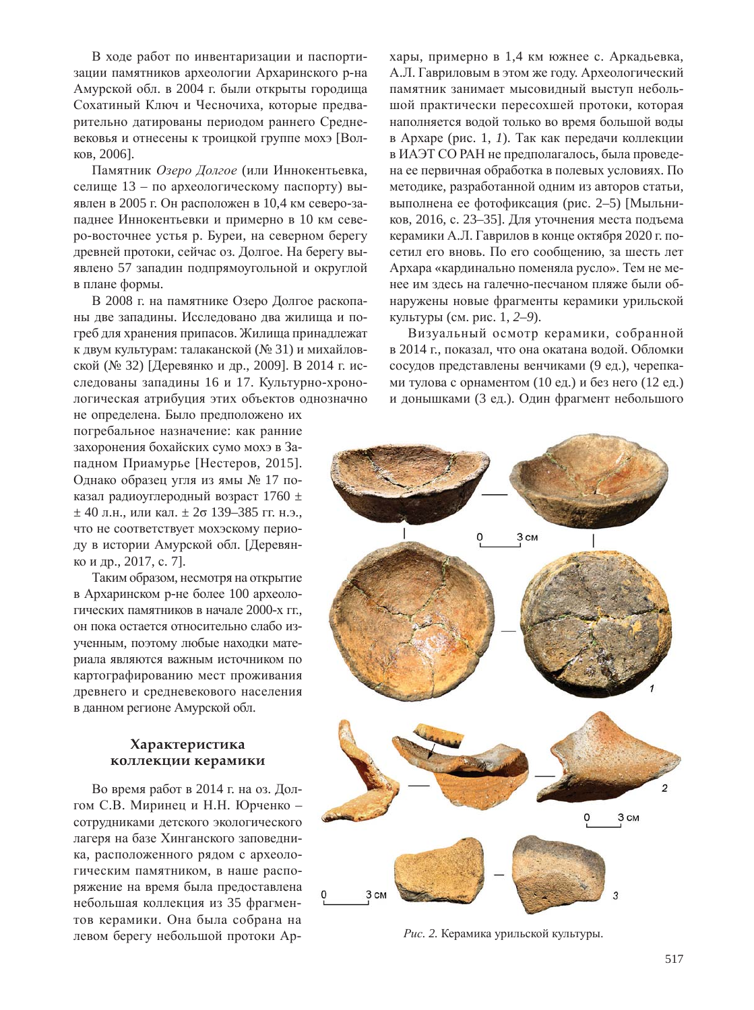В ходе работ по инвентаризации и паспортизации памятников археологии Архаринского р-на Амурской обл. в 2004 г. были открыты городища Сохатиный Ключ и Чесночиха, которые предварительно датированы периодом раннего Средневековья и отнесены к троицкой группе мохэ [Волков, 2006].

Памятник Озеро Долгое (или Иннокентьевка, селище 13 – по археологическому паспорту) выявлен в 2005 г. Он расположен в 10,4 км северо-западнее Иннокентьевки и примерно в 10 км северо-восточнее устья р. Буреи, на северном берегу древней протоки, сейчас оз. Долгое. На берегу выявлено 57 западин подпрямоугольной и округлой в плане формы.

В 2008 г. на памятнике Озеро Долгое раскопаны две западины. Исследовано два жилища и погреб для хранения припасов. Жилища принадлежат к двум культурам: талаканской (№ 31) и михайловской (№ 32) [Деревянко и др., 2009]. В 2014 г. исследованы западины 16 и 17. Культурно-хронологическая атрибуция этих объектов однозначно

не определена. Было предположено их погребальное назначение: как ранние захоронения бохайских сумо мохэ в Западном Приамурье [Нестеров, 2015]. Однако образец угля из ямы № 17 показал радиоуглеродный возраст 1760  $\pm$  $±$  40 л.н., или кал.  $±$  2 $\sigma$  139–385 гг. н.э., что не соответствует мохэскому периоду в истории Амурской обл. [Деревянко и др., 2017, с. 7].

Таким образом, несмотря на открытие в Архаринском р-не более 100 археологических памятников в начале 2000-х гг., он пока остается относительно слабо изученным, поэтому любые находки материала являются важным источником по картографированию мест проживания древнего и средневекового населения в данном регионе Амурской обл.

### Характеристика **КОЛЛЕКЦИИ КЕРАМИКИ**

Во время работ в 2014 г. на оз. Долгом С.В. Миринец и Н.Н. Юрченко сотрудниками детского экологического лагеря на базе Хинганского заповедника, расположенного рядом с археологическим памятником, в наше распоряжение на время была предоставлена небольшая коллекция из 35 фрагментов керамики. Она была собрана на левом берегу небольшой протоки Архары, примерно в 1,4 км южнее с. Аркадьевка, А.Л. Гавриловым в этом же году. Археологический памятник занимает мысовидный выступ небольшой практически пересохшей протоки, которая наполняется водой только во время большой воды в Архаре (рис. 1, 1). Так как передачи коллекции в ИАЭТ СО РАН не предполагалось, была проведена ее первичная обработка в полевых условиях. По методике, разработанной одним из авторов статьи, выполнена ее фотофиксация (рис. 2–5) [Мыльников, 2016, с. 23–35]. Для уточнения места подъема керамики А.Л. Гаврилов в конце октября 2020 г. посетил его вновь. По его сообщению, за шесть лет Архара «кардинально поменяла русло». Тем не менее им здесь на галечно-песчаном пляже были обнаружены новые фрагменты керамики урильской ɤɭɥɶɬɭɪɵ (ɫɦ. ɪɢɫ. 1, *2–9*).

Визуальный осмотр керамики, собранной в 2014 г., показал, что она окатана водой. Обломки сосудов представлены венчиками (9 ед.), черепками тулова с орнаментом (10 ед.) и без него (12 ед.) и донышками (3 ед.). Один фрагмент небольшого



Рис. 2. Керамика урильской культуры.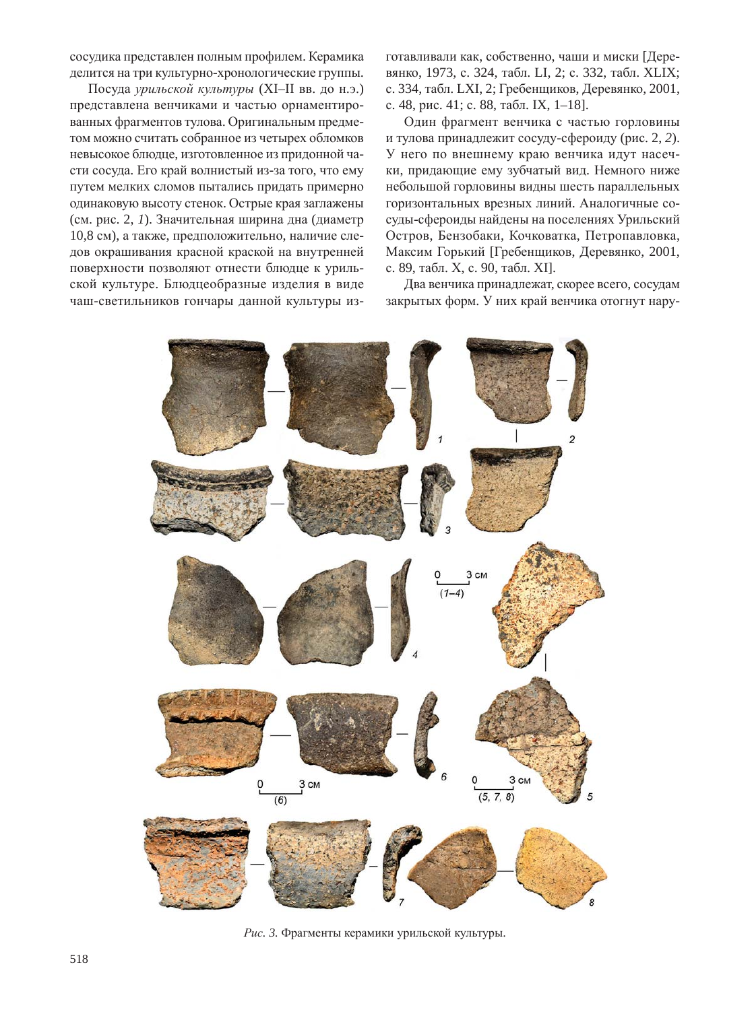сосудика представлен полным профилем. Керамика делится на три культурно-хронологические группы.

Посуда урильской культуры (XI–II вв. до н.э.) представлена венчиками и частью орнаментированных фрагментов тулова. Оригинальным предметом можно считать собранное из четырех обломков невысокое блюдце, изготовленное из придонной части сосуда. Его край волнистый из-за того, что ему путем мелких сломов пытались придать примерно одинаковую высоту стенок. Острые края заглажены (см. рис. 2, 1). Значительная ширина дна (диаметр 10,8 см), а также, предположительно, наличие следов окрашивания красной краской на внутренней поверхности позволяют отнести блюдце к урильской культуре. Блюдцеобразные изделия в виде чаш-светильников гончары данной культуры изготавливали как, собственно, чаши и миски [Деревянко, 1973, с. 324, табл. LI, 2; с. 332, табл. XLIX; с. 334, табл. LXI, 2; Гребенщиков, Деревянко, 2001, с. 48, рис. 41; с. 88, табл. IX, 1–18].

Один фрагмент венчика с частью горловины и тулова принадлежит сосуду-сфероиду (рис. 2, 2). У него по внешнему краю венчика идут насечки, придающие ему зубчатый вид. Немного ниже небольшой горловины видны шесть параллельных горизонтальных врезных линий. Аналогичные сосуды-сфероиды найдены на поселениях Урильский Остров, Бензобаки, Кочковатка, Петропавловка, Максим Горький [Гребенщиков, Деревянко, 2001, с. 89, табл. Х, с. 90, табл. XI].

Два венчика принадлежат, скорее всего, сосудам закрытых форм. У них край венчика отогнут нару-



Рис. 3. Фрагменты керамики урильской культуры.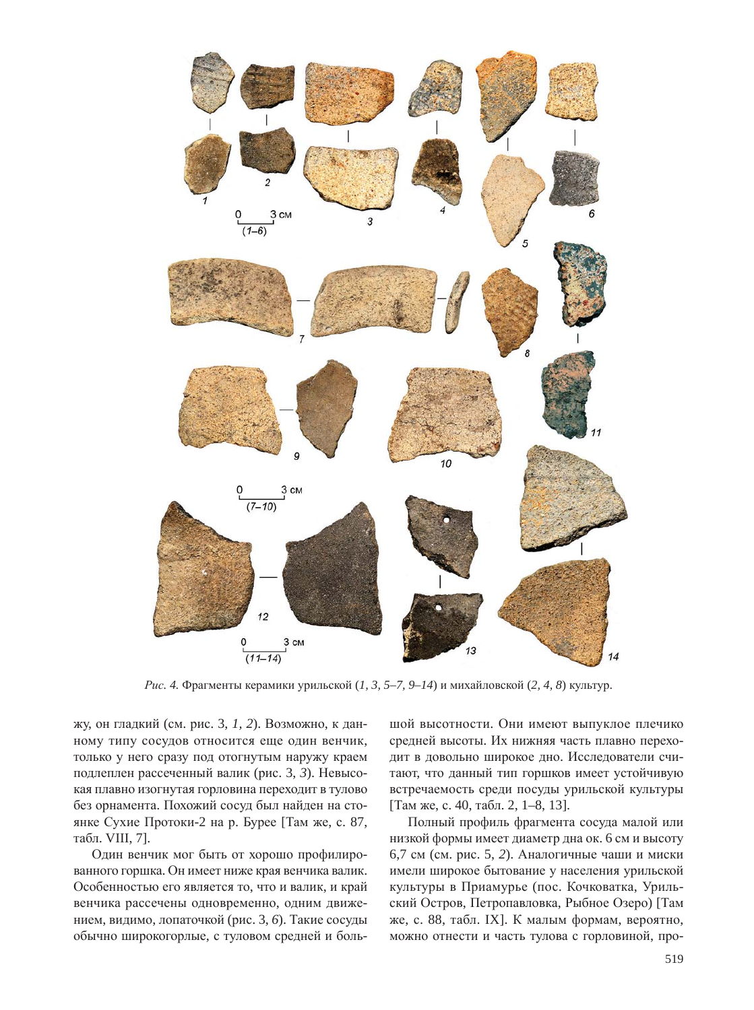

*Рис. 4.* Фрагменты керамики урильской  $(1, 3, 5-7, 9-14)$  и михайловской  $(2, 4, 8)$  культур.

жу, он гладкий (см. рис. 3, 1, 2). Возможно, к данному типу сосудов относится еще один венчик, только у него сразу под отогнутым наружу краем подлеплен рассеченный валик (рис. 3, 3). Невысокая плавно изогнутая горловина переходит в тулово без орнамента. Похожий сосуд был найден на стоянке Сухие Протоки-2 на р. Бурее [Там же, с. 87, табл. VIII, 7].

Один венчик мог быть от хорошо профилированного горшка. Он имеет ниже края венчика валик. Особенностью его является то, что и валик, и край венчика рассечены одновременно, одним движением, видимо, лопаточкой (рис. 3, 6). Такие сосуды обычно широкогорлые, с туловом средней и большой высотности. Они имеют выпуклое плечико средней высоты. Их нижняя часть плавно переходит в довольно широкое дно. Исследователи считают, что данный тип горшков имеет устойчивую встречаемость среди посуды урильской культуры [Там же, с. 40, табл. 2, 1–8, 13].

Полный профиль фрагмента сосуда малой или низкой формы имеет диаметр дна ок. 6 см и высоту 6,7 см (см. рис. 5, 2). Аналогичные чаши и миски имели широкое бытование у населения урильской культуры в Приамурье (пос. Кочковатка, Урильский Остров, Петропавловка, Рыбное Озеро) [Там же, с. 88, табл. IX]. К малым формам, вероятно, можно отнести и часть тулова с горловиной, про-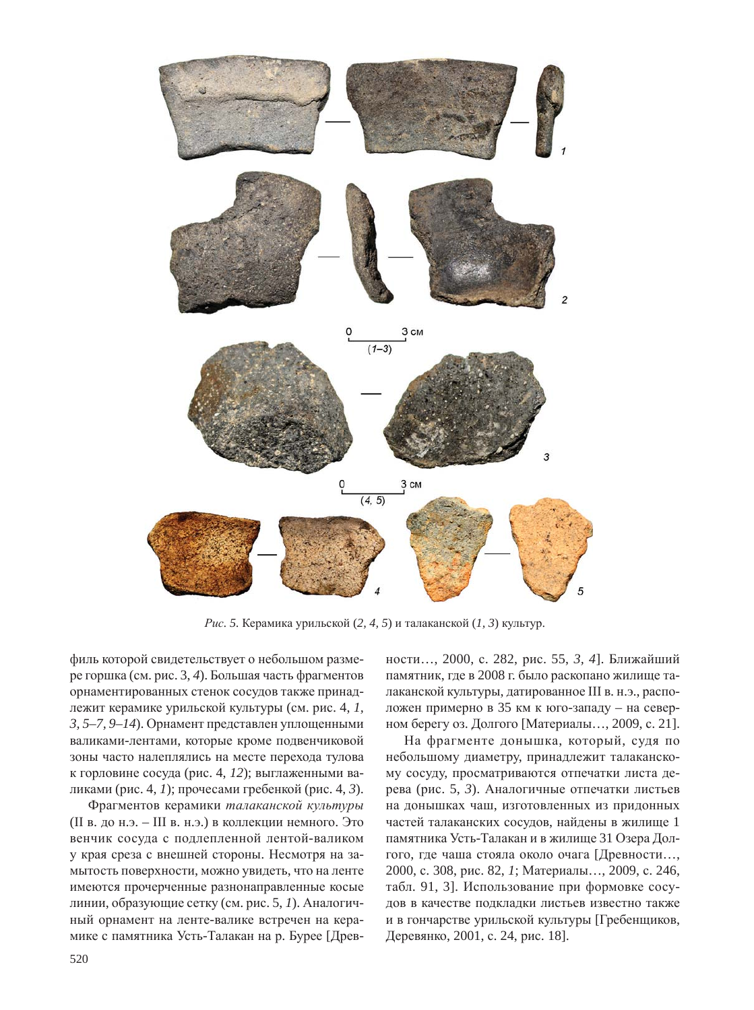

*Рис.* 5. Керамика урильской (2, 4, 5) и талаканской (1, 3) культур.

филь которой свидетельствует о небольшом размере горшка (см. рис. 3, 4). Большая часть фрагментов орнаментированных стенок сосудов также принадлежит керамике урильской культуры (см. рис. 4, 1, 3, 5–7, 9–14). Орнамент представлен уплощенными валиками-лентами, которые кроме подвенчиковой зоны часто налеплялись на месте перехода тулова к горловине сосуда (рис. 4, 12); выглаженными валиками (рис. 4, 1); прочесами гребенкой (рис. 4, 3).

Фрагментов керамики талаканской культуры (II в. до н.э. – III в. н.э.) в коллекции немного. Это венчик сосуда с подлепленной лентой-валиком у края среза с внешней стороны. Несмотря на замытость поверхности, можно увидеть, что на ленте имеются прочерченные разнонаправленные косые линии, образующие сетку (см. рис. 5, 1). Аналогичный орнамент на ленте-валике встречен на керамике с памятника Усть-Талакан на р. Бурее [Древности..., 2000, с. 282, рис. 55, 3, 4]. Ближайший памятник, где в 2008 г. было раскопано жилище талаканской культуры, датированное III в. н.э., расположен примерно в 35 км к юго-западу – на северном берегу оз. Долгого [Материалы..., 2009, с. 21].

На фрагменте донышка, который, судя по небольшому диаметру, принадлежит талаканскому сосуду, просматриваются отпечатки листа дерева (рис. 5, 3). Аналогичные отпечатки листьев на донышках чаш, изготовленных из придонных частей талаканских сосудов, найдены в жилище 1 памятника Усть-Талакан и в жилище 31 Озера Долгого, где чаша стояла около очага [Древности..., 2000, с. 308, рис. 82, *1*; Материалы..., 2009, с. 246, табл. 91, 3]. Использование при формовке сосудов в качестве подкладки листьев известно также и в гончарстве урильской культуры [Гребенщиков, Деревянко, 2001, с. 24, рис. 18].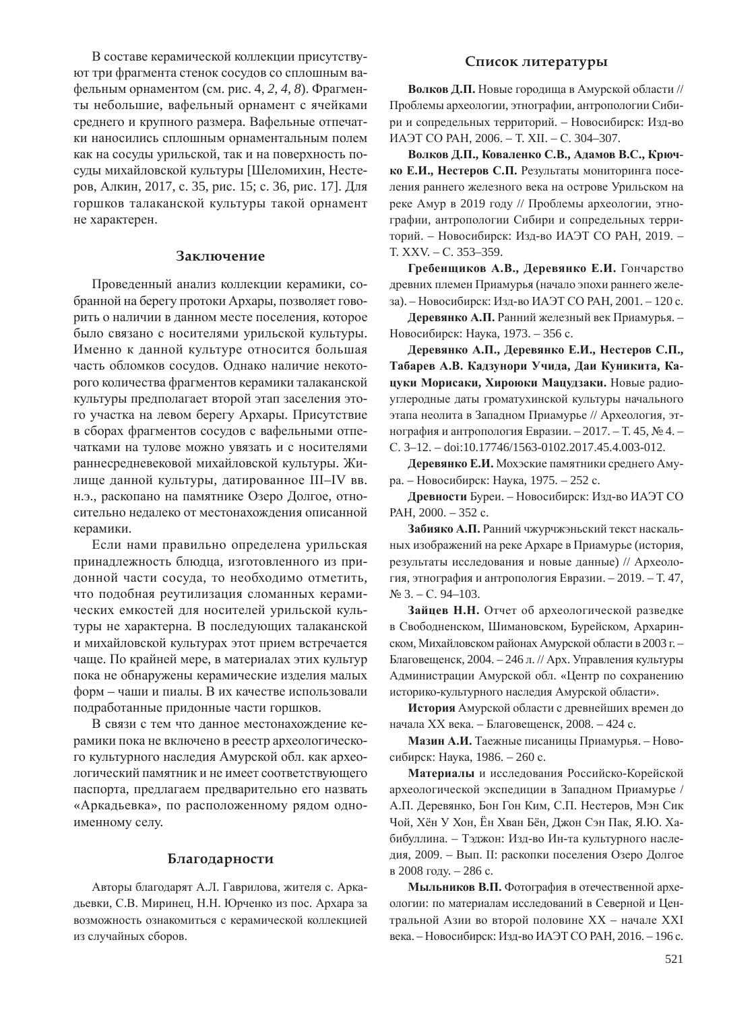В составе керамической коллекции присутствуют три фрагмента стенок сосудов со сплошным вафельным орнаментом (см. рис. 4, 2, 4, 8). Фрагменты небольшие, вафельный орнамент с ячейками среднего и крупного размера. Вафельные отпечатки наносились сплошным орнаментальным полем как на сосуды урильской, так и на поверхность посуды михайловской культуры [Шеломихин, Нестеров, Алкин, 2017, с. 35, рис. 15; с. 36, рис. 17]. Для горшков талаканской культуры такой орнамент не характерен.

#### Заключение

Проведенный анализ коллекции керамики, собранной на берегу протоки Архары, позволяет говорить о наличии в данном месте поселения, которое было связано с носителями урильской культуры. Именно к данной культуре относится большая часть обломков сосудов. Однако наличие некоторого количества фрагментов керамики талаканской культуры предполагает второй этап заселения этого участка на левом берегу Архары. Присутствие в сборах фрагментов сосудов с вафельными отпечатками на тулове можно увязать и с носителями раннесредневековой михайловской культуры. Жилище данной культуры, датированное III–IV вв. н.э., раскопано на памятнике Озеро Долгое, относительно недалеко от местонахождения описанной керамики.

Если нами правильно определена урильская принадлежность блюдца, изготовленного из придонной части сосуда, то необходимо отметить, что подобная реутилизация сломанных керамических емкостей для носителей урильской культуры не характерна. В последующих талаканской и михайловской культурах этот прием встречается чаще. По крайней мере, в материалах этих культур пока не обнаружены керамические изделия малых форм – чаши и пиалы. В их качестве использовали подработанные придонные части горшков.

В связи с тем что данное местонахождение керамики пока не включено в реестр археологического культурного наследия Амурской обл. как археологический памятник и не имеет соответствующего паспорта, предлагаем предварительно его назвать «Аркадьевка», по расположенному рядом одноименному селу.

### **Благодарности**

Авторы благодарят А.Л. Гаврилова, жителя с. Аркадьевки, С.В. Миринец, Н.Н. Юрченко из пос. Архара за возможность ознакомиться с керамической коллекцией из случайных сборов.

#### Список литературы

Волков Д.П. Новые городища в Амурской области // Проблемы археологии, этнографии, антропологии Сибири и сопредельных территорий. – Новосибирск: Изд-во ИАЭТ СО РАН, 2006. - Т. XII. - С. 304-307.

Волков Д.П., Коваленко С.В., Адамов В.С., Крюч**ко Е.И., Нестеров С.П.** Результаты мониторинга поселения раннего железного века на острове Урильском на реке Амур в 2019 году // Проблемы археологии, этнографии, антропологии Сибири и сопредельных территорий. – Новосибирск: Изд-во ИАЭТ СО РАН, 2019. – T. XXV. – C. 353–359.

 $\Gamma$ ребенщиков А.В., Деревянко Е.И. Гончарство древних племен Приамурья (начало эпохи раннего железа). – Новосибирск: Изд-во ИАЭТ СО РАН, 2001. – 120 с.

**Деревянко А.П.** Ранний железный век Приамурья. – Новосибирск: Наука, 1973. – 356 с.

 $\Lambda$ еревянко А.П., Деревянко Е.И., Нестеров С.П., Табарев А.В. Кадзунори Учида, Даи Куникита, Кацуки Морисаки, Хироюки Мацудзаки. Новые радиоуглеродные даты громатухинской культуры начального этапа неолита в Западном Приамурье // Археология, этнография и антропология Евразии. – 2017. – Т. 45, № 4. – C. 3-12. - doi:10.17746/1563-0102.2017.45.4.003-012.

Деревянко Е.И. Мохэские памятники среднего Амура. – Новосибирск: Наука, 1975. – 252 с.

Древности Буреи. – Новосибирск: Изд-во ИАЭТ СО PAH, 2000. - 352 c.

Забияко А.П. Ранний чжурчжэньский текст наскальных изображений на реке Архаре в Приамурье (история, результаты исследования и новые данные) // Археология, этнография и антропология Евразии. – 2019. – Т. 47,  $N<sub>2</sub>$  3. – C. 94–103.

Зайцев Н.Н. Отчет об археологической разведке в Свободненском, Шимановском, Бурейском, Архаринском, Михайловском районах Амурской области в 2003 г. – Благовещенск, 2004. – 246 л. // Арх. Управления культуры Администрации Амурской обл. «Центр по сохранению историко-культурного наследия Амурской области».

**История** Амурской области с древнейших времен до начала XX века. – Благовещенск, 2008. – 424 с.

Мазин А.И. Таежные писаницы Приамурья. – Новосибирск: Наука, 1986. – 260 с.

Материалы и исследования Российско-Корейской археологической экспедиции в Западном Приамурье / А.П. Деревянко, Бон Гон Ким, С.П. Нестеров, Мэн Сик Чой, Хён У Хон, Ён Хван Бён, Джон Сэн Пак, Я.Ю. Хабибуллина. – Тэджон: Изд-во Ин-та культурного наследия, 2009. – Вып. II: раскопки поселения Озеро Долгое в 2008 году. – 286 с.

Мыльников В.П. Фотография в отечественной археологии: по материалам исследований в Северной и Центральной Азии во второй половине XX – начале XXI века. – Новосибирск: Изд-во ИАЭТ СО РАН, 2016. – 196 с.